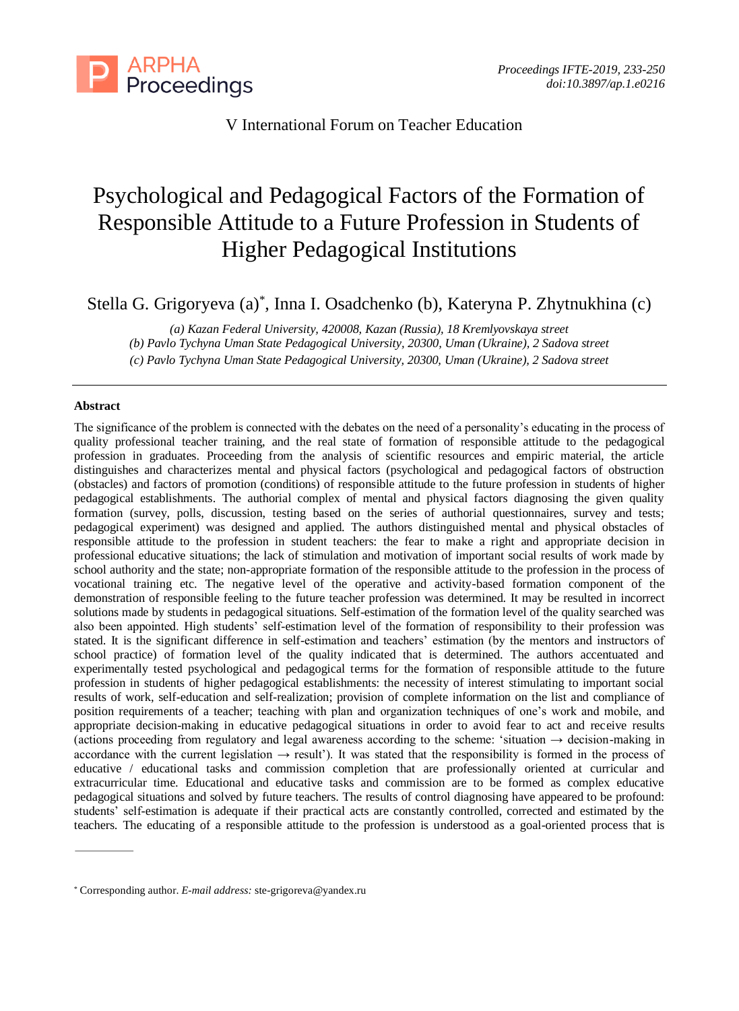

V International Forum on Teacher Education

# Psychological and Pedagogical Factors of the Formation of Responsible Attitude to a Future Profession in Students of Higher Pedagogical Institutions

Stella G. Grigoryeva (a)\* , Inna I. Osadchenko (b), Kateryna P. Zhytnukhina (c)

*(a) Kazan Federal University, 420008, Kazan (Russia), 18 Kremlyovskaya street*

*(b) Pavlo Tychyna Uman State Pedagogical University, 20300, Uman (Ukraine), 2 Sadova street* 

*(c) Pavlo Tychyna Uman State Pedagogical University, 20300, Uman (Ukraine), 2 Sadova street*

## **Abstract**

The significance of the problem is connected with the debates on the need of a personality's educating in the process of quality professional teacher training, and the real state of formation of responsible attitude to the pedagogical profession in graduates. Proceeding from the analysis of scientific resources and empiric material, the article distinguishes and characterizes mental and physical factors (psychological and pedagogical factors of obstruction (obstacles) and factors of promotion (conditions) of responsible attitude to the future profession in students of higher pedagogical establishments. The authorial complex of mental and physical factors diagnosing the given quality formation (survey, polls, discussion, testing based on the series of authorial questionnaires, survey and tests; pedagogical experiment) was designed and applied. The authors distinguished mental and physical obstacles of responsible attitude to the profession in student teachers: the fear to make a right and appropriate decision in professional educative situations; the lack of stimulation and motivation of important social results of work made by school authority and the state; non-appropriate formation of the responsible attitude to the profession in the process of vocational training etc. The negative level of the operative and activity-based formation component of the demonstration of responsible feeling to the future teacher profession was determined. It may be resulted in incorrect solutions made by students in pedagogical situations. Self-estimation of the formation level of the quality searched was also been appointed. High students' self-estimation level of the formation of responsibility to their profession was stated. It is the significant difference in self-estimation and teachers' estimation (by the mentors and instructors of school practice) of formation level of the quality indicated that is determined. The authors accentuated and experimentally tested psychological and pedagogical terms for the formation of responsible attitude to the future profession in students of higher pedagogical establishments: the necessity of interest stimulating to important social results of work, self-education and self-realization; provision of complete information on the list and compliance of position requirements of a teacher; teaching with plan and organization techniques of one's work and mobile, and appropriate decision-making in educative pedagogical situations in order to avoid fear to act and receive results (actions proceeding from regulatory and legal awareness according to the scheme: 'situation → decision-making in accordance with the current legislation  $\rightarrow$  result'). It was stated that the responsibility is formed in the process of educative / educational tasks and commission completion that are professionally oriented at curricular and extracurricular time. Educational and educative tasks and commission are to be formed as complex educative pedagogical situations and solved by future teachers. The results of control diagnosing have appeared to be profound: students' self-estimation is adequate if their practical acts are constantly controlled, corrected and estimated by the teachers. The educating of a responsible attitude to the profession is understood as a goal-oriented process that is

<sup>\*</sup> Corresponding author. *E-mail address:* ste-grigoreva@yandex.ru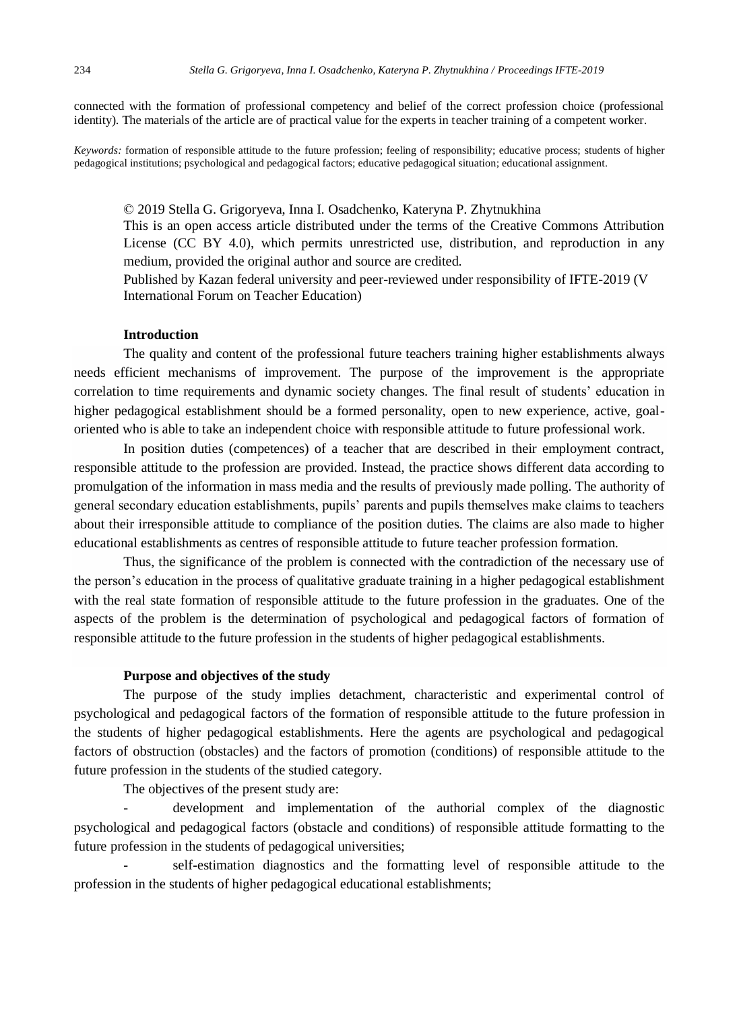connected with the formation of professional competency and belief of the correct profession choice (professional identity). The materials of the article are of practical value for the experts in teacher training of a competent worker.

*Keywords:* formation of responsible attitude to the future profession; feeling of responsibility; educative process; students of higher pedagogical institutions; psychological and pedagogical factors; educative pedagogical situation; educational assignment.

© 2019 Stella G. Grigoryeva, Inna I. Osadchenko, Kateryna P. Zhytnukhina This is an open access article distributed under the terms of the Creative Commons Attribution License (CC BY 4.0), which permits unrestricted use, distribution, and reproduction in any medium, provided the original author and source are credited.

Published by Kazan federal university and peer-reviewed under responsibility of IFTE-2019 (V International Forum on Teacher Education)

# **Introduction**

The quality and content of the professional future teachers training higher establishments always needs efficient mechanisms of improvement. The purpose of the improvement is the appropriate correlation to time requirements and dynamic society changes. The final result of students' education in higher pedagogical establishment should be a formed personality, open to new experience, active, goaloriented who is able to take an independent choice with responsible attitude to future professional work.

In position duties (competences) of a teacher that are described in their employment contract, responsible attitude to the profession are provided. Instead, the practice shows different data according to promulgation of the information in mass media and the results of previously made polling. The authority of general secondary education establishments, pupils' parents and pupils themselves make claims to teachers about their irresponsible attitude to compliance of the position duties. The claims are also made to higher educational establishments as centres of responsible attitude to future teacher profession formation.

Thus, the significance of the problem is connected with the contradiction of the necessary use of the person's education in the process of qualitative graduate training in a higher pedagogical establishment with the real state formation of responsible attitude to the future profession in the graduates. One of the aspects of the problem is the determination of psychological and pedagogical factors of formation of responsible attitude to the future profession in the students of higher pedagogical establishments.

## **Purpose and objectives of the study**

The purpose of the study implies detachment, characteristic and experimental control of psychological and pedagogical factors of the formation of responsible attitude to the future profession in the students of higher pedagogical establishments. Here the agents are psychological and pedagogical factors of obstruction (obstacles) and the factors of promotion (conditions) of responsible attitude to the future profession in the students of the studied category.

The objectives of the present study are:

development and implementation of the authorial complex of the diagnostic psychological and pedagogical factors (obstacle and conditions) of responsible attitude formatting to the future profession in the students of pedagogical universities;

- self-estimation diagnostics and the formatting level of responsible attitude to the profession in the students of higher pedagogical educational establishments;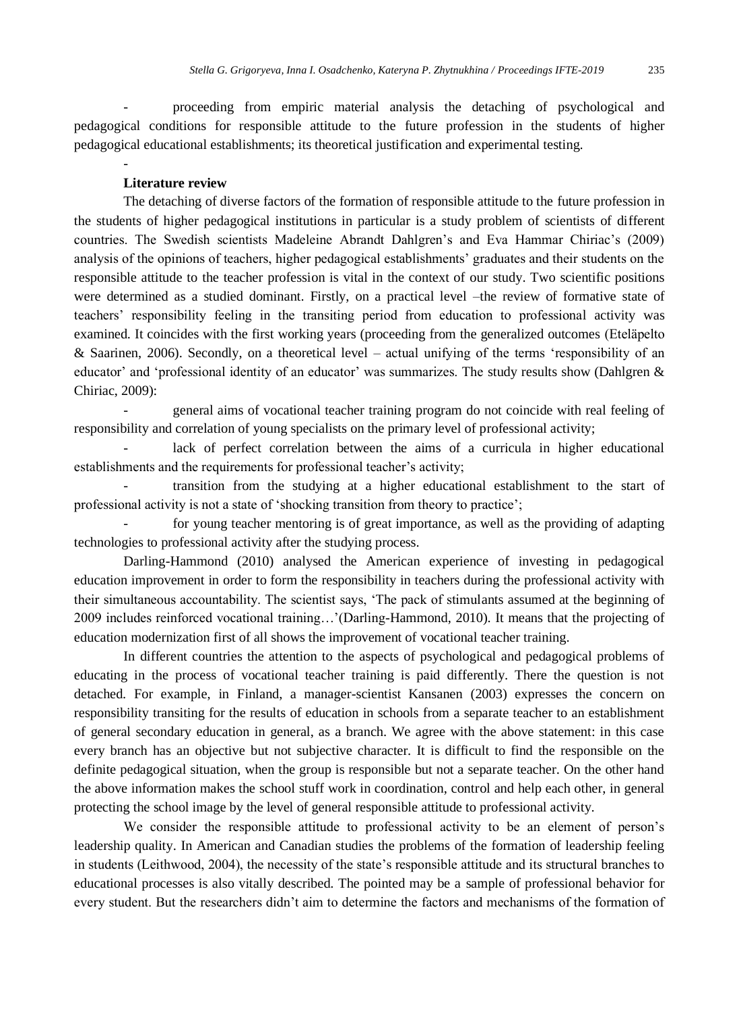- proceeding from empiric material analysis the detaching of psychological and pedagogical conditions for responsible attitude to the future profession in the students of higher pedagogical educational establishments; its theoretical justification and experimental testing.

## **Literature review**

-

The detaching of diverse factors of the formation of responsible attitude to the future profession in the students of higher pedagogical institutions in particular is a study problem of scientists of different countries. The Swedish scientists Madeleine Abrandt Dahlgren's and Eva Hammar Chiriac's (2009) analysis of the opinions of teachers, higher pedagogical establishments' graduates and their students on the responsible attitude to the teacher profession is vital in the context of our study. Two scientific positions were determined as a studied dominant. Firstly, on a practical level –the review of formative state of teachers' responsibility feeling in the transiting period from education to professional activity was examined. It coincides with the first working years (proceeding from the generalized outcomes (Eteläpelto & Saarinen, 2006). Secondly, on a theoretical level – actual unifying of the terms 'responsibility of an educator' and 'professional identity of an educator' was summarizes. The study results show (Dahlgren & Chiriac, 2009):

- general aims of vocational teacher training program do not coincide with real feeling of responsibility and correlation of young specialists on the primary level of professional activity;

lack of perfect correlation between the aims of a curricula in higher educational establishments and the requirements for professional teacher's activity;

transition from the studying at a higher educational establishment to the start of professional activity is not a state of 'shocking transition from theory to practice';

for young teacher mentoring is of great importance, as well as the providing of adapting technologies to professional activity after the studying process.

Darling-Hammond (2010) analysed the American experience of investing in pedagogical education improvement in order to form the responsibility in teachers during the professional activity with their simultaneous accountability. The scientist says, 'The pack of stimulants assumed at the beginning of 2009 includes reinforced vocational training…'(Darling-Hammond, 2010). It means that the projecting of education modernization first of all shows the improvement of vocational teacher training.

In different countries the attention to the aspects of psychological and pedagogical problems of educating in the process of vocational teacher training is paid differently. There the question is not detached. For example, in Finland, a manager-scientist Kansanen (2003) expresses the concern on responsibility transiting for the results of education in schools from a separate teacher to an establishment of general secondary education in general, as a branch. We agree with the above statement: in this case every branch has an objective but not subjective character. It is difficult to find the responsible on the definite pedagogical situation, when the group is responsible but not a separate teacher. On the other hand the above information makes the school stuff work in coordination, control and help each other, in general protecting the school image by the level of general responsible attitude to professional activity.

We consider the responsible attitude to professional activity to be an element of person's leadership quality. In American and Canadian studies the problems of the formation of leadership feeling in students (Leithwood, 2004), the necessity of the state's responsible attitude and its structural branches to educational processes is also vitally described. The pointed may be a sample of professional behavior for every student. But the researchers didn't aim to determine the factors and mechanisms of the formation of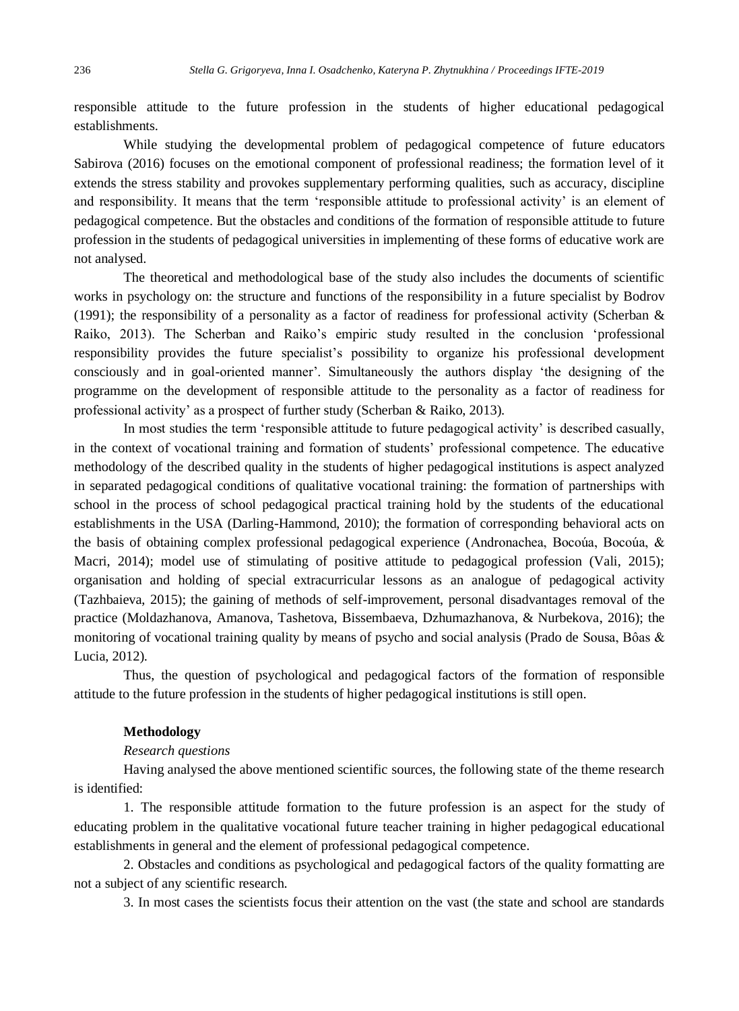responsible attitude to the future profession in the students of higher educational pedagogical establishments.

While studying the developmental problem of pedagogical competence of future educators Sabirova (2016) focuses on the emotional component of professional readiness; the formation level of it extends the stress stability and provokes supplementary performing qualities, such as accuracy, discipline and responsibility. It means that the term 'responsible attitude to professional activity' is an element of pedagogical competence. But the obstacles and conditions of the formation of responsible attitude to future profession in the students of pedagogical universities in implementing of these forms of educative work are not analysed.

The theoretical and methodological base of the study also includes the documents of scientific works in psychology on: the structure and functions of the responsibility in a future specialist by Bodrov (1991); the responsibility of a personality as a factor of readiness for professional activity (Scherban  $\&$ Raiko, 2013). The Scherban and Raiko's empiric study resulted in the conclusion 'professional responsibility provides the future specialist's possibility to organize his professional development consciously and in goal-oriented manner'. Simultaneously the authors display 'the designing of the programme on the development of responsible attitude to the personality as a factor of readiness for professional activity' as a prospect of further study (Scherban & Raiko, 2013).

In most studies the term 'responsible attitude to future pedagogical activity' is described casually, in the context of vocational training and formation of students' professional competence. The educative methodology of the described quality in the students of higher pedagogical institutions is aspect analyzed in separated pedagogical conditions of qualitative vocational training: the formation of partnerships with school in the process of school pedagogical practical training hold by the students of the educational establishments in the USA (Darling-Hammond, 2010); the formation of corresponding behavioral acts on the basis of obtaining complex professional pedagogical experience (Andronachea, Bocoúa, Bocoúa, & Macri, 2014); model use of stimulating of positive attitude to pedagogical profession (Vali, 2015); organisation and holding of special extracurricular lessons as an analogue of pedagogical activity (Tazhbaieva, 2015); the gaining of methods of self-improvement, personal disadvantages removal of the practice (Moldazhanova, Amanova, Tashetova, Bissembaeva, Dzhumazhanova, & Nurbekova, 2016); the monitoring of vocational training quality by means of psycho and social analysis (Prado de Sousa, Bôas & Lucia, 2012).

Thus, the question of psychological and pedagogical factors of the formation of responsible attitude to the future profession in the students of higher pedagogical institutions is still open.

## **Methodology**

#### *Research questions*

Having analysed the above mentioned scientific sources, the following state of the theme research is identified:

1. The responsible attitude formation to the future profession is an aspect for the study of educating problem in the qualitative vocational future teacher training in higher pedagogical educational establishments in general and the element of professional pedagogical competence.

2. Obstacles and conditions as psychological and pedagogical factors of the quality formatting are not a subject of any scientific research.

3. In most cases the scientists focus their attention on the vast (the state and school are standards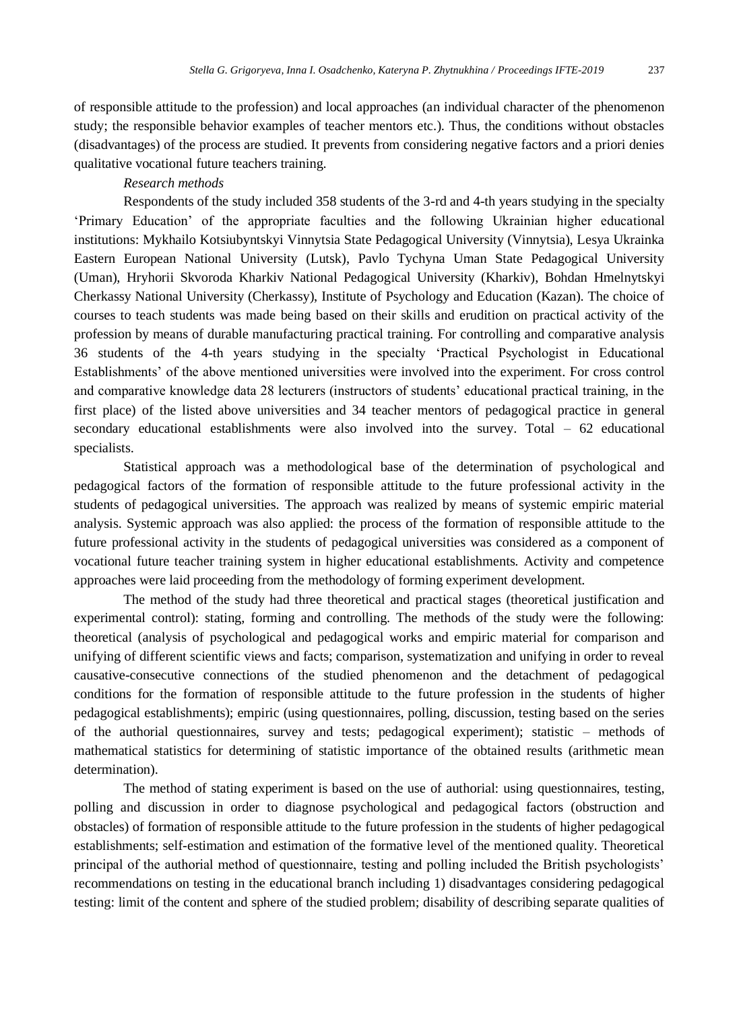of responsible attitude to the profession) and local approaches (an individual character of the phenomenon study; the responsible behavior examples of teacher mentors etc.). Thus, the conditions without obstacles (disadvantages) of the process are studied. It prevents from considering negative factors and a priori denies qualitative vocational future teachers training.

## *Research methods*

Respondents of the study included 358 students of the 3-rd and 4-th years studying in the specialty 'Primary Education' of the appropriate faculties and the following Ukrainian higher educational institutions: Mykhailo Kotsiubyntskyi Vinnytsia State Pedagogical University (Vinnytsia), Lesya Ukrainka Eastern European National University (Lutsk), Pavlo Tychyna Uman State Pedagogical University (Uman), Hryhorii Skvoroda Kharkiv National Pedagogical University (Kharkiv), Bohdan Hmelnytskyi Cherkassy National University (Cherkassy), Institute of Psychology and Education (Kazan). The choice of courses to teach students was made being based on their skills and erudition on practical activity of the profession by means of durable manufacturing practical training. For controlling and comparative analysis 36 students of the 4-th years studying in the specialty 'Practical Psychologist in Educational Establishments' of the above mentioned universities were involved into the experiment. For cross control and comparative knowledge data 28 lecturers (instructors of students' educational practical training, in the first place) of the listed above universities and 34 teacher mentors of pedagogical practice in general secondary educational establishments were also involved into the survey. Total – 62 educational specialists.

Statistical approach was a methodological base of the determination of psychological and pedagogical factors of the formation of responsible attitude to the future professional activity in the students of pedagogical universities. The approach was realized by means of systemic empiric material analysis. Systemic approach was also applied: the process of the formation of responsible attitude to the future professional activity in the students of pedagogical universities was considered as a component of vocational future teacher training system in higher educational establishments. Activity and competence approaches were laid proceeding from the methodology of forming experiment development.

The method of the study had three theoretical and practical stages (theoretical justification and experimental control): stating, forming and controlling. The methods of the study were the following: theoretical (analysis of psychological and pedagogical works and empiric material for comparison and unifying of different scientific views and facts; comparison, systematization and unifying in order to reveal causative-consecutive connections of the studied phenomenon and the detachment of pedagogical conditions for the formation of responsible attitude to the future profession in the students of higher pedagogical establishments); empiric (using questionnaires, polling, discussion, testing based on the series of the authorial questionnaires, survey and tests; pedagogical experiment); statistic – methods of mathematical statistics for determining of statistic importance of the obtained results (arithmetic mean determination).

The method of stating experiment is based on the use of authorial: using questionnaires, testing, polling and discussion in order to diagnose psychological and pedagogical factors (obstruction and obstacles) of formation of responsible attitude to the future profession in the students of higher pedagogical establishments; self-estimation and estimation of the formative level of the mentioned quality. Theoretical principal of the authorial method of questionnaire, testing and polling included the British psychologists' recommendations on testing in the educational branch including 1) disadvantages considering pedagogical testing: limit of the content and sphere of the studied problem; disability of describing separate qualities of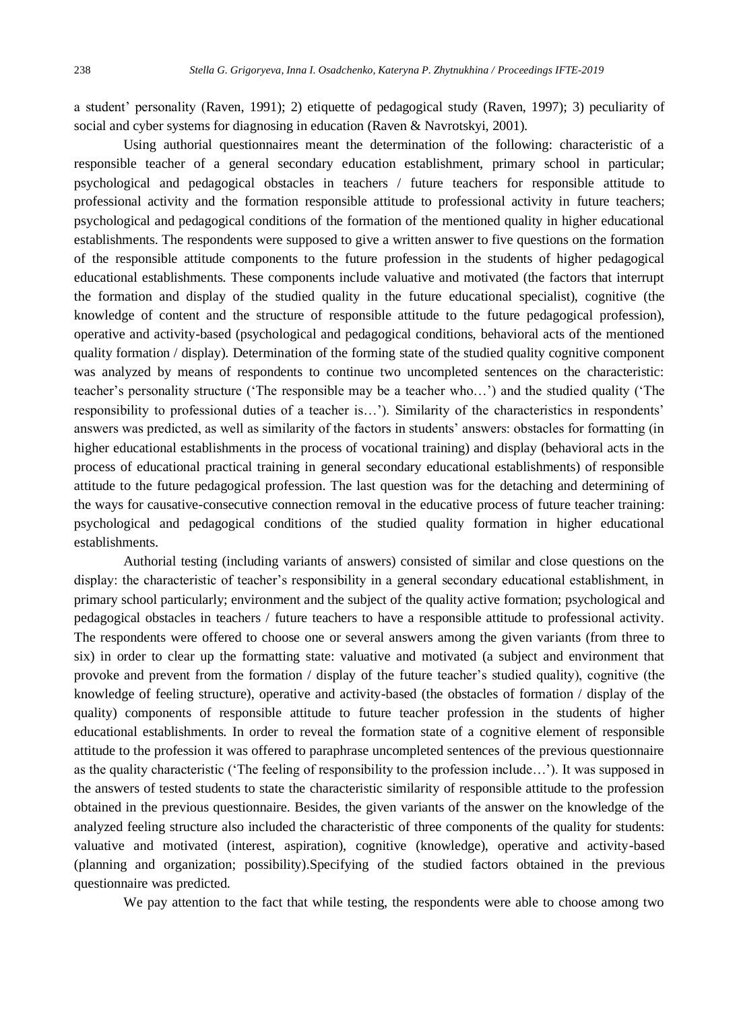a student' personality (Raven, 1991); 2) etiquette of pedagogical study (Raven, 1997); 3) peculiarity of social and cyber systems for diagnosing in education (Raven & Navrotskyi, 2001).

Using authorial questionnaires meant the determination of the following: characteristic of a responsible teacher of a general secondary education establishment, primary school in particular; psychological and pedagogical obstacles in teachers / future teachers for responsible attitude to professional activity and the formation responsible attitude to professional activity in future teachers; psychological and pedagogical conditions of the formation of the mentioned quality in higher educational establishments. The respondents were supposed to give a written answer to five questions on the formation of the responsible attitude components to the future profession in the students of higher pedagogical educational establishments. These components include valuative and motivated (the factors that interrupt the formation and display of the studied quality in the future educational specialist), cognitive (the knowledge of content and the structure of responsible attitude to the future pedagogical profession), operative and activity-based (psychological and pedagogical conditions, behavioral acts of the mentioned quality formation / display). Determination of the forming state of the studied quality cognitive component was analyzed by means of respondents to continue two uncompleted sentences on the characteristic: teacher's personality structure ('The responsible may be a teacher who…') and the studied quality ('The responsibility to professional duties of a teacher is…'). Similarity of the characteristics in respondents' answers was predicted, as well as similarity of the factors in students' answers: obstacles for formatting (in higher educational establishments in the process of vocational training) and display (behavioral acts in the process of educational practical training in general secondary educational establishments) of responsible attitude to the future pedagogical profession. The last question was for the detaching and determining of the ways for causative-consecutive connection removal in the educative process of future teacher training: psychological and pedagogical conditions of the studied quality formation in higher educational establishments.

Authorial testing (including variants of answers) consisted of similar and close questions on the display: the characteristic of teacher's responsibility in a general secondary educational establishment, in primary school particularly; environment and the subject of the quality active formation; psychological and pedagogical obstacles in teachers / future teachers to have a responsible attitude to professional activity. The respondents were offered to choose one or several answers among the given variants (from three to six) in order to clear up the formatting state: valuative and motivated (a subject and environment that provoke and prevent from the formation / display of the future teacher's studied quality), cognitive (the knowledge of feeling structure), operative and activity-based (the obstacles of formation / display of the quality) components of responsible attitude to future teacher profession in the students of higher educational establishments. In order to reveal the formation state of a cognitive element of responsible attitude to the profession it was offered to paraphrase uncompleted sentences of the previous questionnaire as the quality characteristic ('The feeling of responsibility to the profession include…'). It was supposed in the answers of tested students to state the characteristic similarity of responsible attitude to the profession obtained in the previous questionnaire. Besides, the given variants of the answer on the knowledge of the analyzed feeling structure also included the characteristic of three components of the quality for students: valuative and motivated (interest, aspiration), cognitive (knowledge), operative and activity-based (planning and organization; possibility).Specifying of the studied factors obtained in the previous questionnaire was predicted.

We pay attention to the fact that while testing, the respondents were able to choose among two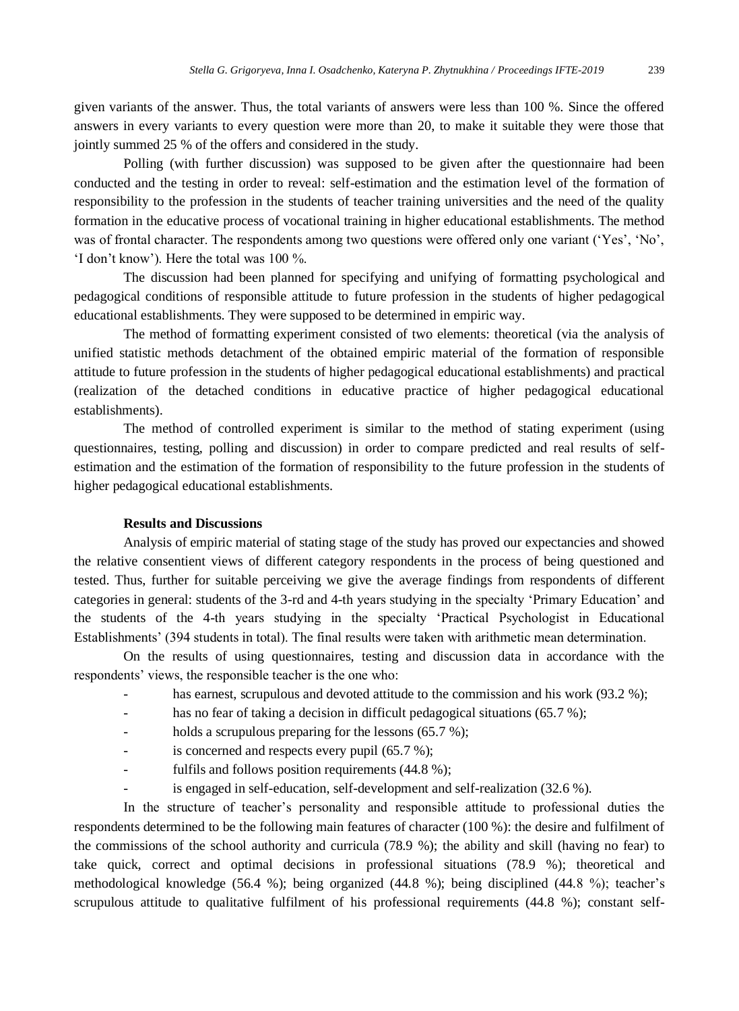given variants of the answer. Thus, the total variants of answers were less than 100 %. Since the offered answers in every variants to every question were more than 20, to make it suitable they were those that jointly summed 25 % of the offers and considered in the study.

Polling (with further discussion) was supposed to be given after the questionnaire had been conducted and the testing in order to reveal: self-estimation and the estimation level of the formation of responsibility to the profession in the students of teacher training universities and the need of the quality formation in the educative process of vocational training in higher educational establishments. The method was of frontal character. The respondents among two questions were offered only one variant ('Yes', 'No', 'I don't know'). Here the total was 100 %.

The discussion had been planned for specifying and unifying of formatting psychological and pedagogical conditions of responsible attitude to future profession in the students of higher pedagogical educational establishments. They were supposed to be determined in empiric way.

The method of formatting experiment consisted of two elements: theoretical (via the analysis of unified statistic methods detachment of the obtained empiric material of the formation of responsible attitude to future profession in the students of higher pedagogical educational establishments) and practical (realization of the detached conditions in educative practice of higher pedagogical educational establishments).

The method of controlled experiment is similar to the method of stating experiment (using questionnaires, testing, polling and discussion) in order to compare predicted and real results of selfestimation and the estimation of the formation of responsibility to the future profession in the students of higher pedagogical educational establishments.

## **Results and Discussions**

Analysis of empiric material of stating stage of the study has proved our expectancies and showed the relative consentient views of different category respondents in the process of being questioned and tested. Thus, further for suitable perceiving we give the average findings from respondents of different categories in general: students of the 3-rd and 4-th years studying in the specialty 'Primary Education' and the students of the 4-th years studying in the specialty 'Practical Psychologist in Educational Establishments' (394 students in total). The final results were taken with arithmetic mean determination.

On the results of using questionnaires, testing and discussion data in accordance with the respondents' views, the responsible teacher is the one who:

- has earnest, scrupulous and devoted attitude to the commission and his work  $(93.2 \%)$ ;
- has no fear of taking a decision in difficult pedagogical situations (65.7 %);
- holds a scrupulous preparing for the lessons  $(65.7 \%)$ ;
- is concerned and respects every pupil  $(65.7 %)$ ;
- fulfils and follows position requirements  $(44.8\%)$ ;
- is engaged in self-education, self-development and self-realization (32.6 %).

In the structure of teacher's personality and responsible attitude to professional duties the respondents determined to be the following main features of character (100 %): the desire and fulfilment of the commissions of the school authority and curricula (78.9 %); the ability and skill (having no fear) to take quick, correct and optimal decisions in professional situations (78.9 %); theoretical and methodological knowledge (56.4 %); being organized (44.8 %); being disciplined (44.8 %); teacher's scrupulous attitude to qualitative fulfilment of his professional requirements (44.8 %); constant self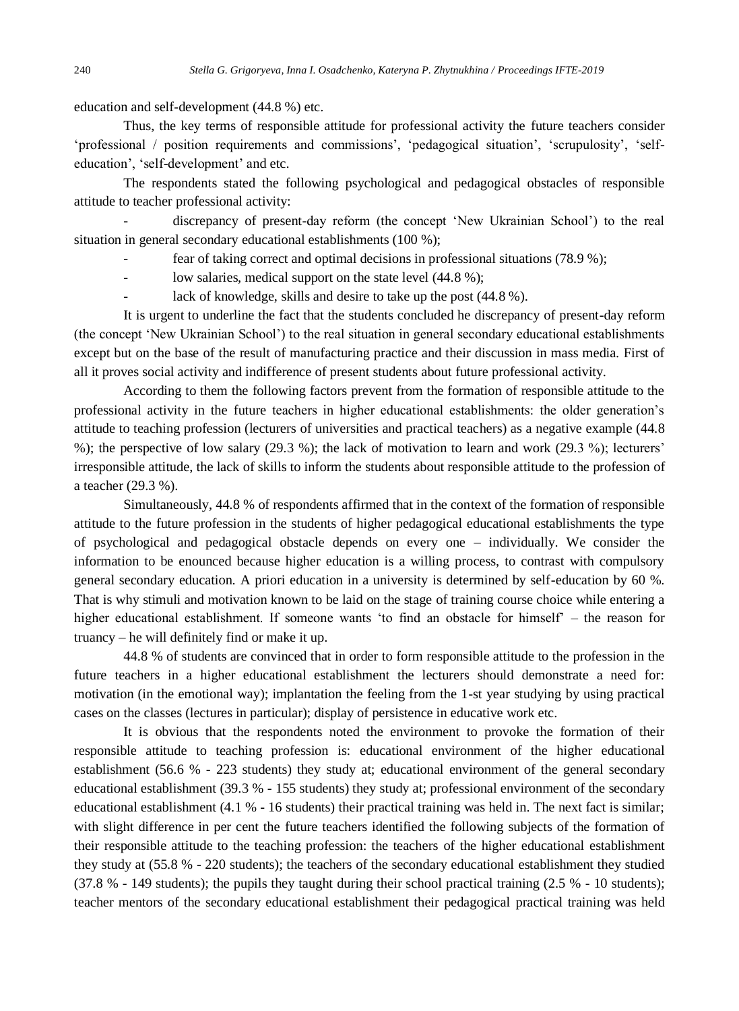education and self-development (44.8 %) etc.

Thus, the key terms of responsible attitude for professional activity the future teachers consider 'professional / position requirements and commissions', 'pedagogical situation', 'scrupulosity', 'selfeducation', 'self-development' and etc.

The respondents stated the following psychological and pedagogical obstacles of responsible attitude to teacher professional activity:

- discrepancy of present-day reform (the concept 'New Ukrainian School') to the real situation in general secondary educational establishments (100 %);

fear of taking correct and optimal decisions in professional situations (78.9 %);

low salaries, medical support on the state level (44.8 %);

lack of knowledge, skills and desire to take up the post (44.8 %).

It is urgent to underline the fact that the students concluded he discrepancy of present-day reform (the concept 'New Ukrainian School') to the real situation in general secondary educational establishments except but on the base of the result of manufacturing practice and their discussion in mass media. First of all it proves social activity and indifference of present students about future professional activity.

According to them the following factors prevent from the formation of responsible attitude to the professional activity in the future teachers in higher educational establishments: the older generation's attitude to teaching profession (lecturers of universities and practical teachers) as a negative example (44.8 %); the perspective of low salary (29.3 %); the lack of motivation to learn and work (29.3 %); lecturers' irresponsible attitude, the lack of skills to inform the students about responsible attitude to the profession of a teacher (29.3 %).

Simultaneously, 44.8 % of respondents affirmed that in the context of the formation of responsible attitude to the future profession in the students of higher pedagogical educational establishments the type of psychological and pedagogical obstacle depends on every one – individually. We consider the information to be enounced because higher education is a willing process, to contrast with compulsory general secondary education. A priori education in a university is determined by self-education by 60 %. That is why stimuli and motivation known to be laid on the stage of training course choice while entering a higher educational establishment. If someone wants 'to find an obstacle for himself' – the reason for truancy – he will definitely find or make it up.

44.8 % of students are convinced that in order to form responsible attitude to the profession in the future teachers in a higher educational establishment the lecturers should demonstrate a need for: motivation (in the emotional way); implantation the feeling from the 1-st year studying by using practical cases on the classes (lectures in particular); display of persistence in educative work etc.

It is obvious that the respondents noted the environment to provoke the formation of their responsible attitude to teaching profession is: educational environment of the higher educational establishment (56.6 % - 223 students) they study at; educational environment of the general secondary educational establishment (39.3 % - 155 students) they study at; professional environment of the secondary educational establishment (4.1 % - 16 students) their practical training was held in. The next fact is similar; with slight difference in per cent the future teachers identified the following subjects of the formation of their responsible attitude to the teaching profession: the teachers of the higher educational establishment they study at (55.8 % - 220 students); the teachers of the secondary educational establishment they studied (37.8 % - 149 students); the pupils they taught during their school practical training (2.5 % - 10 students); teacher mentors of the secondary educational establishment their pedagogical practical training was held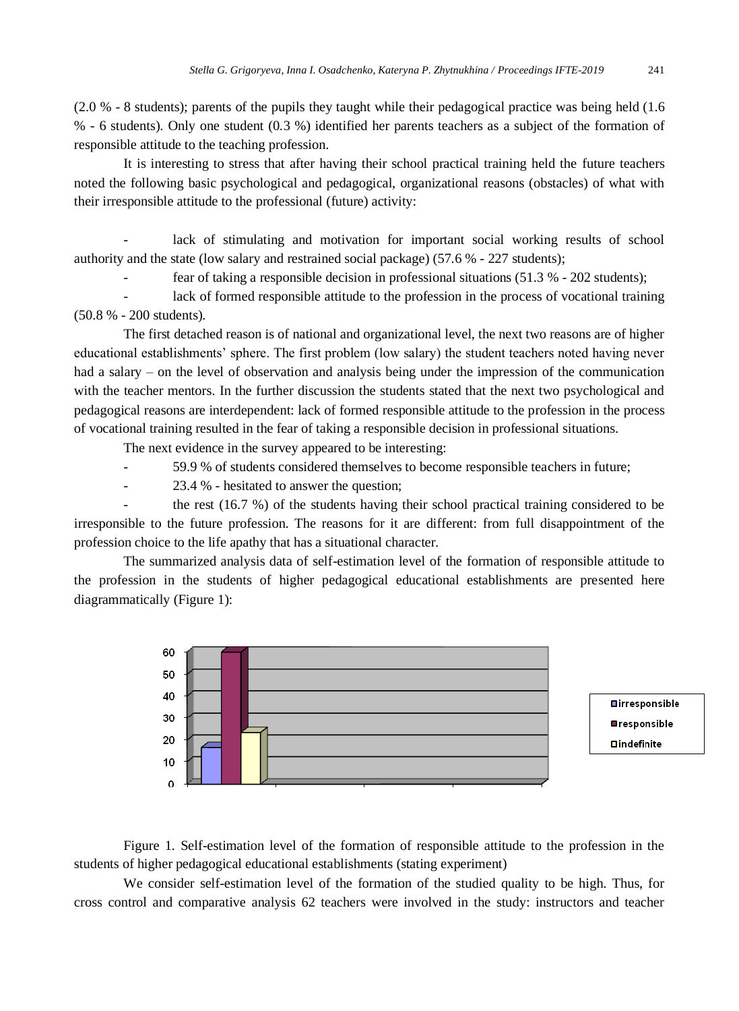(2.0 % - 8 students); parents of the pupils they taught while their pedagogical practice was being held (1.6 % - 6 students). Only one student (0.3 %) identified her parents teachers as a subject of the formation of responsible attitude to the teaching profession.

It is interesting to stress that after having their school practical training held the future teachers noted the following basic psychological and pedagogical, organizational reasons (obstacles) of what with their irresponsible attitude to the professional (future) activity:

lack of stimulating and motivation for important social working results of school authority and the state (low salary and restrained social package) (57.6 % - 227 students);

fear of taking a responsible decision in professional situations (51.3 % - 202 students);

lack of formed responsible attitude to the profession in the process of vocational training (50.8 % - 200 students).

The first detached reason is of national and organizational level, the next two reasons are of higher educational establishments' sphere. The first problem (low salary) the student teachers noted having never had a salary – on the level of observation and analysis being under the impression of the communication with the teacher mentors. In the further discussion the students stated that the next two psychological and pedagogical reasons are interdependent: lack of formed responsible attitude to the profession in the process of vocational training resulted in the fear of taking a responsible decision in professional situations.

The next evidence in the survey appeared to be interesting:

- 59.9 % of students considered themselves to become responsible teachers in future;
- 23.4 % hesitated to answer the question;

the rest (16.7 %) of the students having their school practical training considered to be irresponsible to the future profession. The reasons for it are different: from full disappointment of the profession choice to the life apathy that has a situational character.

The summarized analysis data of self-estimation level of the formation of responsible attitude to the profession in the students of higher pedagogical educational establishments are presented here diagrammatically (Figure 1):



Figure 1. Self-estimation level of the formation of responsible attitude to the profession in the students of higher pedagogical educational establishments (stating experiment)

We consider self-estimation level of the formation of the studied quality to be high. Thus, for cross control and comparative analysis 62 teachers were involved in the study: instructors and teacher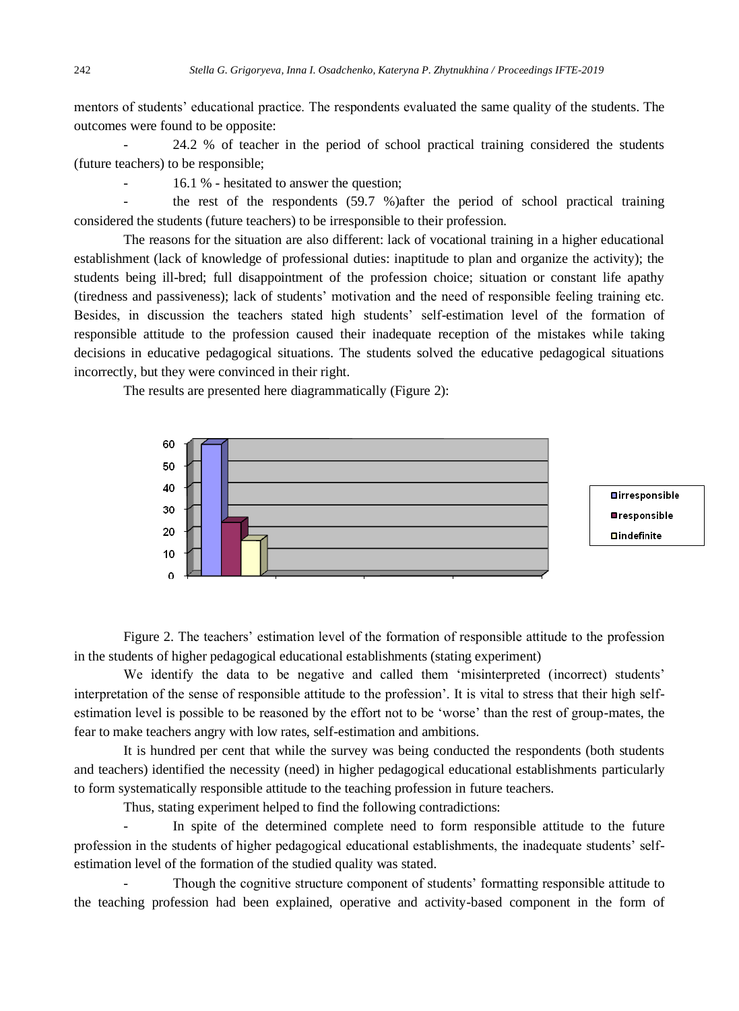mentors of students' educational practice. The respondents evaluated the same quality of the students. The outcomes were found to be opposite:

- 24.2 % of teacher in the period of school practical training considered the students (future teachers) to be responsible;

- 16.1 % - hesitated to answer the question;

the rest of the respondents (59.7 %)after the period of school practical training considered the students (future teachers) to be irresponsible to their profession.

The reasons for the situation are also different: lack of vocational training in a higher educational establishment (lack of knowledge of professional duties: inaptitude to plan and organize the activity); the students being ill-bred; full disappointment of the profession choice; situation or constant life apathy (tiredness and passiveness); lack of students' motivation and the need of responsible feeling training etc. Besides, in discussion the teachers stated high students' self-estimation level of the formation of responsible attitude to the profession caused their inadequate reception of the mistakes while taking decisions in educative pedagogical situations. The students solved the educative pedagogical situations incorrectly, but they were convinced in their right.

The results are presented here diagrammatically (Figure 2):



Figure 2. The teachers' estimation level of the formation of responsible attitude to the profession in the students of higher pedagogical educational establishments (stating experiment)

We identify the data to be negative and called them 'misinterpreted (incorrect) students' interpretation of the sense of responsible attitude to the profession'. It is vital to stress that their high selfestimation level is possible to be reasoned by the effort not to be 'worse' than the rest of group-mates, the fear to make teachers angry with low rates, self-estimation and ambitions.

It is hundred per cent that while the survey was being conducted the respondents (both students and teachers) identified the necessity (need) in higher pedagogical educational establishments particularly to form systematically responsible attitude to the teaching profession in future teachers.

Thus, stating experiment helped to find the following contradictions:

In spite of the determined complete need to form responsible attitude to the future profession in the students of higher pedagogical educational establishments, the inadequate students' selfestimation level of the formation of the studied quality was stated.

- Though the cognitive structure component of students' formatting responsible attitude to the teaching profession had been explained, operative and activity-based component in the form of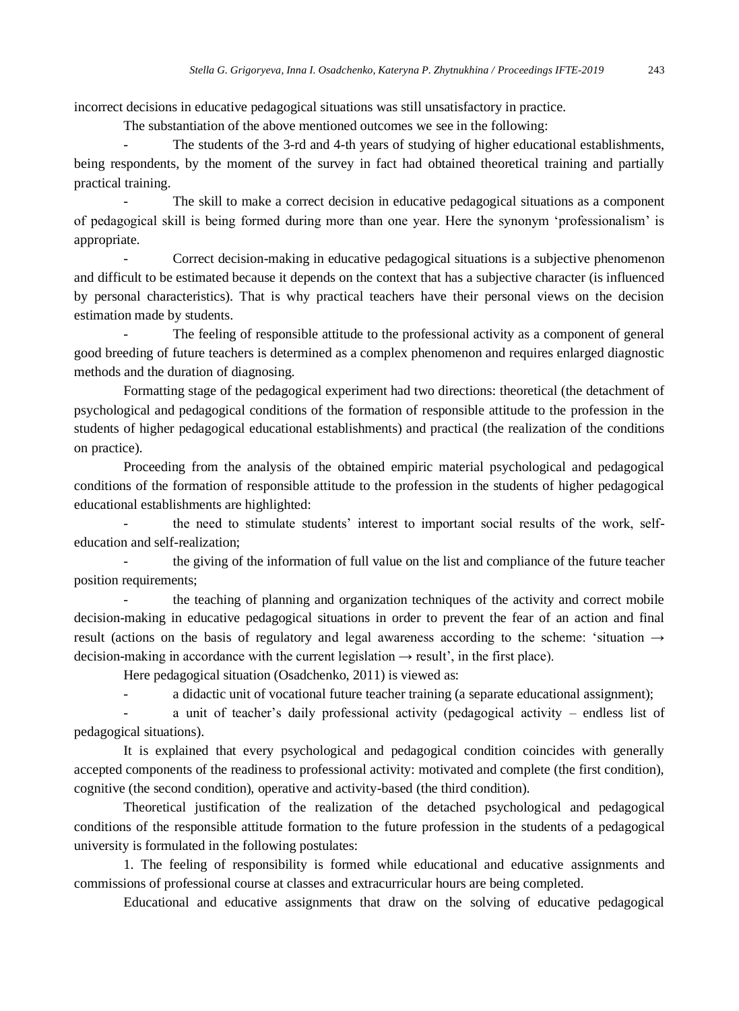incorrect decisions in educative pedagogical situations was still unsatisfactory in practice.

The substantiation of the above mentioned outcomes we see in the following:

- The students of the 3-rd and 4-th years of studying of higher educational establishments, being respondents, by the moment of the survey in fact had obtained theoretical training and partially practical training.

The skill to make a correct decision in educative pedagogical situations as a component of pedagogical skill is being formed during more than one year. Here the synonym 'professionalism' is appropriate.

Correct decision-making in educative pedagogical situations is a subjective phenomenon and difficult to be estimated because it depends on the context that has a subjective character (is influenced by personal characteristics). That is why practical teachers have their personal views on the decision estimation made by students.

The feeling of responsible attitude to the professional activity as a component of general good breeding of future teachers is determined as a complex phenomenon and requires enlarged diagnostic methods and the duration of diagnosing.

Formatting stage of the pedagogical experiment had two directions: theoretical (the detachment of psychological and pedagogical conditions of the formation of responsible attitude to the profession in the students of higher pedagogical educational establishments) and practical (the realization of the conditions on practice).

Proceeding from the analysis of the obtained empiric material psychological and pedagogical conditions of the formation of responsible attitude to the profession in the students of higher pedagogical educational establishments are highlighted:

the need to stimulate students' interest to important social results of the work, selfeducation and self-realization;

the giving of the information of full value on the list and compliance of the future teacher position requirements;

the teaching of planning and organization techniques of the activity and correct mobile decision-making in educative pedagogical situations in order to prevent the fear of an action and final result (actions on the basis of regulatory and legal awareness according to the scheme: 'situation  $\rightarrow$ decision-making in accordance with the current legislation  $\rightarrow$  result', in the first place).

Here pedagogical situation (Osadchenko, 2011) is viewed as:

- a didactic unit of vocational future teacher training (a separate educational assignment);

a unit of teacher's daily professional activity (pedagogical activity – endless list of pedagogical situations).

It is explained that every psychological and pedagogical condition coincides with generally accepted components of the readiness to professional activity: motivated and complete (the first condition), cognitive (the second condition), operative and activity-based (the third condition).

Theoretical justification of the realization of the detached psychological and pedagogical conditions of the responsible attitude formation to the future profession in the students of a pedagogical university is formulated in the following postulates:

1. The feeling of responsibility is formed while educational and educative assignments and commissions of professional course at classes and extracurricular hours are being completed.

Educational and educative assignments that draw on the solving of educative pedagogical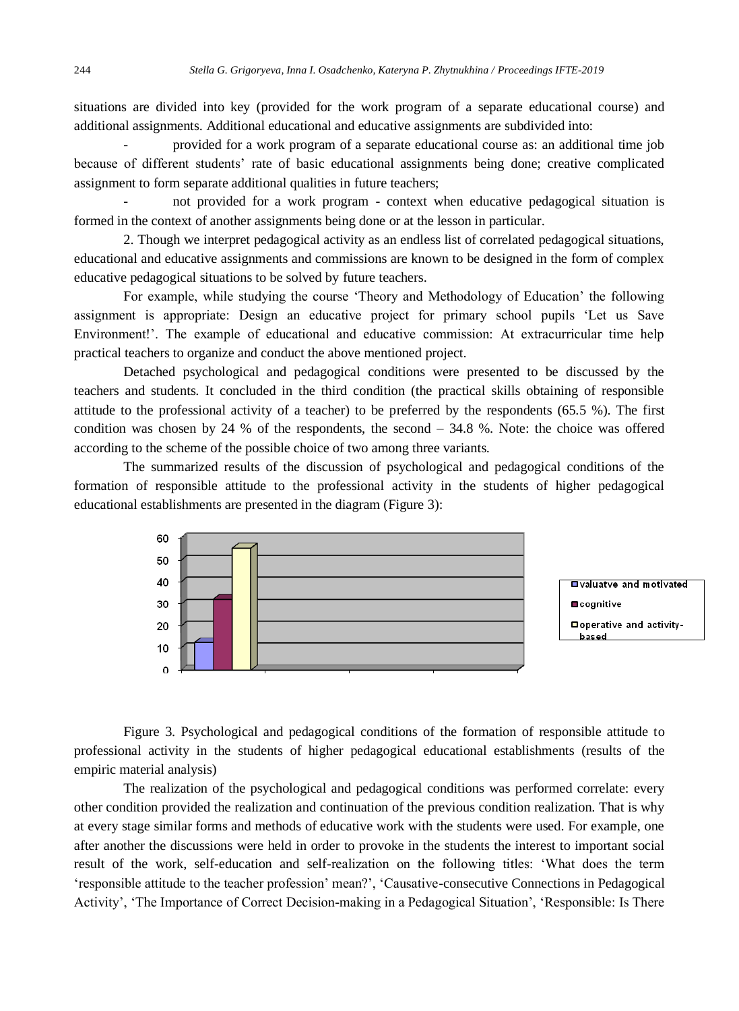situations are divided into key (provided for the work program of a separate educational course) and additional assignments. Additional educational and educative assignments are subdivided into:

- provided for a work program of a separate educational course as: an additional time job because of different students' rate of basic educational assignments being done; creative complicated assignment to form separate additional qualities in future teachers;

- not provided for a work program - context when educative pedagogical situation is formed in the context of another assignments being done or at the lesson in particular.

2. Though we interpret pedagogical activity as an endless list of correlated pedagogical situations, educational and educative assignments and commissions are known to be designed in the form of complex educative pedagogical situations to be solved by future teachers.

For example, while studying the course 'Theory and Methodology of Education' the following assignment is appropriate: Design an educative project for primary school pupils 'Let us Save Environment!'. The example of educational and educative commission: At extracurricular time help practical teachers to organize and conduct the above mentioned project.

Detached psychological and pedagogical conditions were presented to be discussed by the teachers and students. It concluded in the third condition (the practical skills obtaining of responsible attitude to the professional activity of a teacher) to be preferred by the respondents (65.5 %). The first condition was chosen by 24 % of the respondents, the second – 34.8 %. Note: the choice was offered according to the scheme of the possible choice of two among three variants.

The summarized results of the discussion of psychological and pedagogical conditions of the formation of responsible attitude to the professional activity in the students of higher pedagogical educational establishments are presented in the diagram (Figure 3):



Figure 3. Psychological and pedagogical conditions of the formation of responsible attitude to professional activity in the students of higher pedagogical educational establishments (results of the empiric material analysis)

The realization of the psychological and pedagogical conditions was performed correlate: every other condition provided the realization and continuation of the previous condition realization. That is why at every stage similar forms and methods of educative work with the students were used. For example, one after another the discussions were held in order to provoke in the students the interest to important social result of the work, self-education and self-realization on the following titles: 'What does the term 'responsible attitude to the teacher profession' mean?', 'Causative-consecutive Connections in Pedagogical Activity', 'The Importance of Correct Decision-making in a Pedagogical Situation', 'Responsible: Is There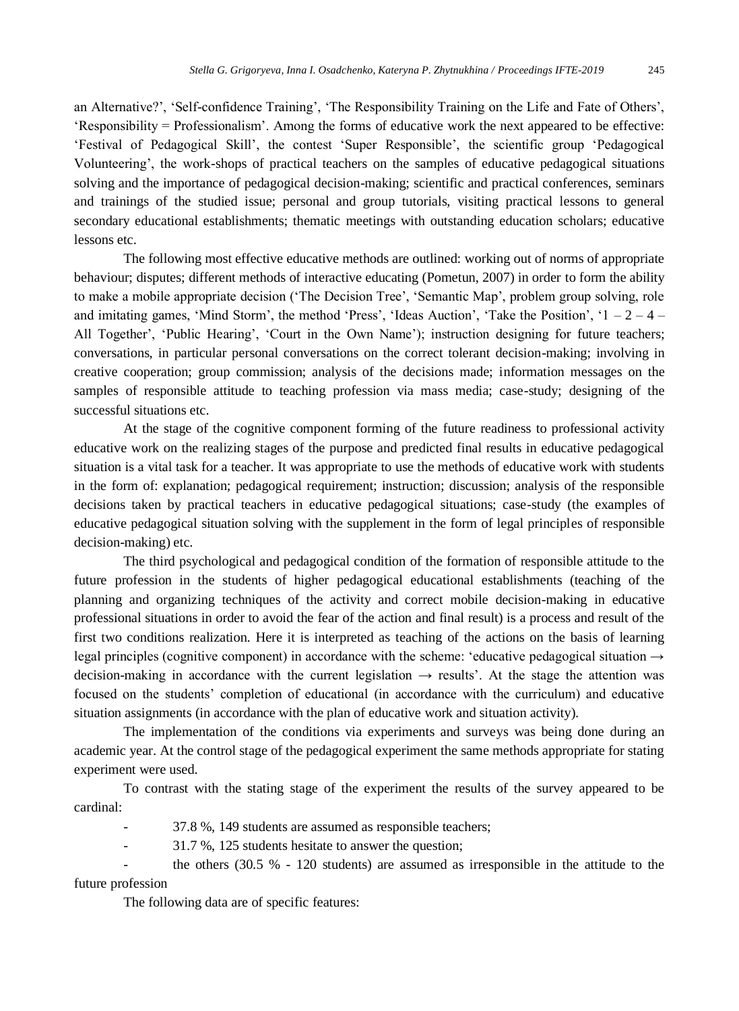an Alternative?', 'Self-confidence Training', 'The Responsibility Training on the Life and Fate of Others', 'Responsibility = Professionalism'. Among the forms of educative work the next appeared to be effective: 'Festival of Pedagogical Skill', the contest 'Super Responsible', the scientific group 'Pedagogical Volunteering', the work-shops of practical teachers on the samples of educative pedagogical situations solving and the importance of pedagogical decision-making; scientific and practical conferences, seminars and trainings of the studied issue; personal and group tutorials, visiting practical lessons to general secondary educational establishments; thematic meetings with outstanding education scholars; educative lessons etc.

The following most effective educative methods are outlined: working out of norms of appropriate behaviour; disputes; different methods of interactive educating (Pometun, 2007) in order to form the ability to make a mobile appropriate decision ('The Decision Tree', 'Semantic Map', problem group solving, role and imitating games, 'Mind Storm', the method 'Press', 'Ideas Auction', 'Take the Position', ' $1 - 2 - 4 -$ All Together', 'Public Hearing', 'Court in the Own Name'); instruction designing for future teachers; conversations, in particular personal conversations on the correct tolerant decision-making; involving in creative cooperation; group commission; analysis of the decisions made; information messages on the samples of responsible attitude to teaching profession via mass media; case-study; designing of the successful situations etc.

At the stage of the cognitive component forming of the future readiness to professional activity educative work on the realizing stages of the purpose and predicted final results in educative pedagogical situation is a vital task for a teacher. It was appropriate to use the methods of educative work with students in the form of: explanation; pedagogical requirement; instruction; discussion; analysis of the responsible decisions taken by practical teachers in educative pedagogical situations; case-study (the examples of educative pedagogical situation solving with the supplement in the form of legal principles of responsible decision-making) etc.

The third psychological and pedagogical condition of the formation of responsible attitude to the future profession in the students of higher pedagogical educational establishments (teaching of the planning and organizing techniques of the activity and correct mobile decision-making in educative professional situations in order to avoid the fear of the action and final result) is a process and result of the first two conditions realization. Here it is interpreted as teaching of the actions on the basis of learning legal principles (cognitive component) in accordance with the scheme: 'educative pedagogical situation  $\rightarrow$ decision-making in accordance with the current legislation  $\rightarrow$  results'. At the stage the attention was focused on the students' completion of educational (in accordance with the curriculum) and educative situation assignments (in accordance with the plan of educative work and situation activity).

The implementation of the conditions via experiments and surveys was being done during an academic year. At the control stage of the pedagogical experiment the same methods appropriate for stating experiment were used.

To contrast with the stating stage of the experiment the results of the survey appeared to be cardinal:

- 37.8 %, 149 students are assumed as responsible teachers;

- 31.7 %, 125 students hesitate to answer the question;

the others  $(30.5 % - 120$  students) are assumed as irresponsible in the attitude to the future profession

The following data are of specific features: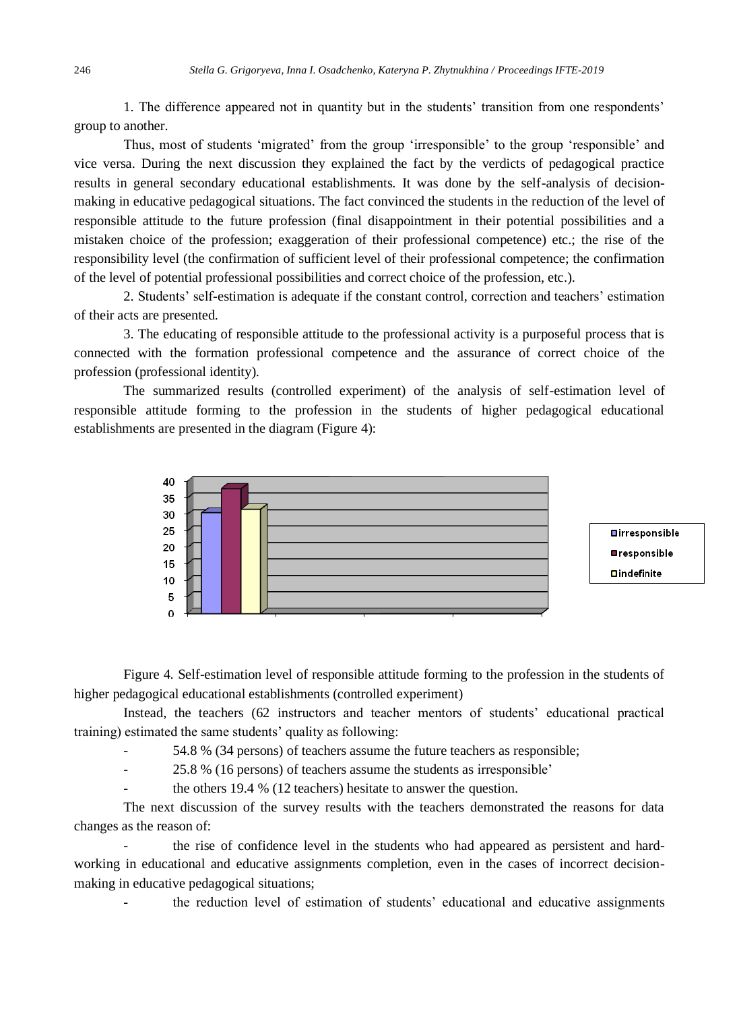1. The difference appeared not in quantity but in the students' transition from one respondents' group to another.

Thus, most of students 'migrated' from the group 'irresponsible' to the group 'responsible' and vice versa. During the next discussion they explained the fact by the verdicts of pedagogical practice results in general secondary educational establishments. It was done by the self-analysis of decisionmaking in educative pedagogical situations. The fact convinced the students in the reduction of the level of responsible attitude to the future profession (final disappointment in their potential possibilities and a mistaken choice of the profession; exaggeration of their professional competence) etc.; the rise of the responsibility level (the confirmation of sufficient level of their professional competence; the confirmation of the level of potential professional possibilities and correct choice of the profession, etc.).

2. Students' self-estimation is adequate if the constant control, correction and teachers' estimation of their acts are presented.

3. The educating of responsible attitude to the professional activity is a purposeful process that is connected with the formation professional competence and the assurance of correct choice of the profession (professional identity).

The summarized results (controlled experiment) of the analysis of self-estimation level of responsible attitude forming to the profession in the students of higher pedagogical educational establishments are presented in the diagram (Figure 4):



Figure 4. Self-estimation level of responsible attitude forming to the profession in the students of higher pedagogical educational establishments (controlled experiment)

Instead, the teachers (62 instructors and teacher mentors of students' educational practical training) estimated the same students' quality as following:

- 54.8 % (34 persons) of teachers assume the future teachers as responsible;

- 25.8 % (16 persons) of teachers assume the students as irresponsible'

the others 19.4 % (12 teachers) hesitate to answer the question.

The next discussion of the survey results with the teachers demonstrated the reasons for data changes as the reason of:

the rise of confidence level in the students who had appeared as persistent and hardworking in educational and educative assignments completion, even in the cases of incorrect decisionmaking in educative pedagogical situations;

the reduction level of estimation of students' educational and educative assignments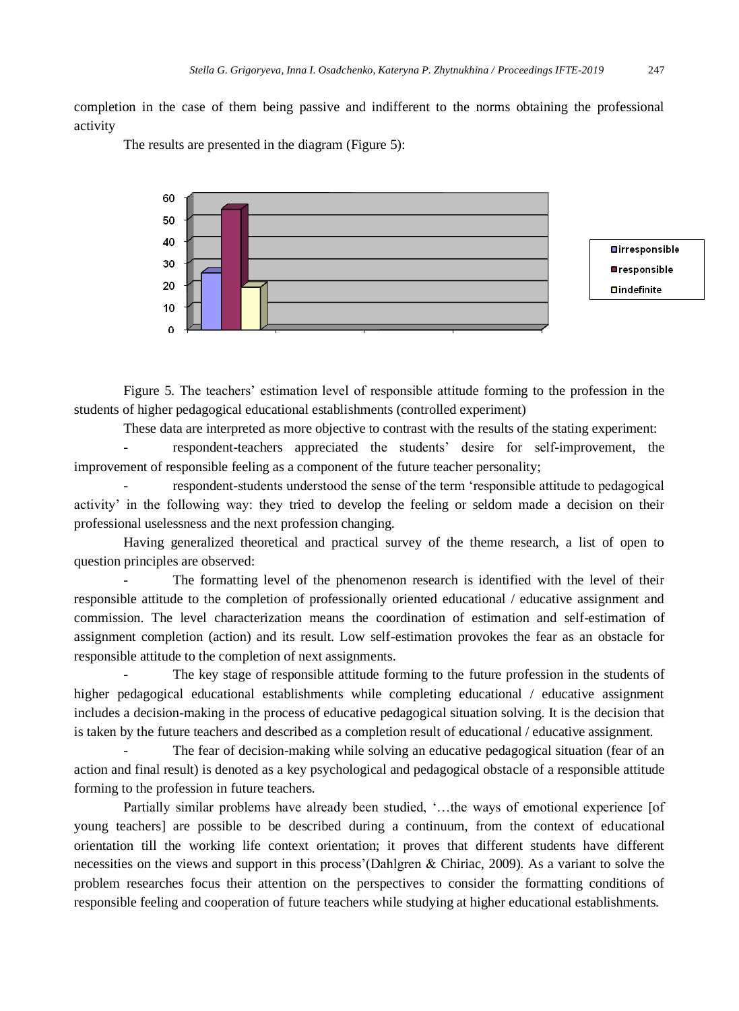completion in the case of them being passive and indifferent to the norms obtaining the professional activity

The results are presented in the diagram (Figure 5):



Figure 5. The teachers' estimation level of responsible attitude forming to the profession in the students of higher pedagogical educational establishments (controlled experiment)

These data are interpreted as more objective to contrast with the results of the stating experiment:

- respondent-teachers appreciated the students' desire for self-improvement, the improvement of responsible feeling as a component of the future teacher personality;

respondent-students understood the sense of the term 'responsible attitude to pedagogical activity' in the following way: they tried to develop the feeling or seldom made a decision on their professional uselessness and the next profession changing.

Having generalized theoretical and practical survey of the theme research, a list of open to question principles are observed:

The formatting level of the phenomenon research is identified with the level of their responsible attitude to the completion of professionally oriented educational / educative assignment and commission. The level characterization means the coordination of estimation and self-estimation of assignment completion (action) and its result. Low self-estimation provokes the fear as an obstacle for responsible attitude to the completion of next assignments.

The key stage of responsible attitude forming to the future profession in the students of higher pedagogical educational establishments while completing educational / educative assignment includes a decision-making in the process of educative pedagogical situation solving. It is the decision that is taken by the future teachers and described as a completion result of educational / educative assignment.

The fear of decision-making while solving an educative pedagogical situation (fear of an action and final result) is denoted as a key psychological and pedagogical obstacle of a responsible attitude forming to the profession in future teachers.

Partially similar problems have already been studied, '…the ways of emotional experience [of young teachers] are possible to be described during a continuum, from the context of educational orientation till the working life context orientation; it proves that different students have different necessities on the views and support in this process'(Dahlgren & Chiriac, 2009). As a variant to solve the problem researches focus their attention on the perspectives to consider the formatting conditions of responsible feeling and cooperation of future teachers while studying at higher educational establishments.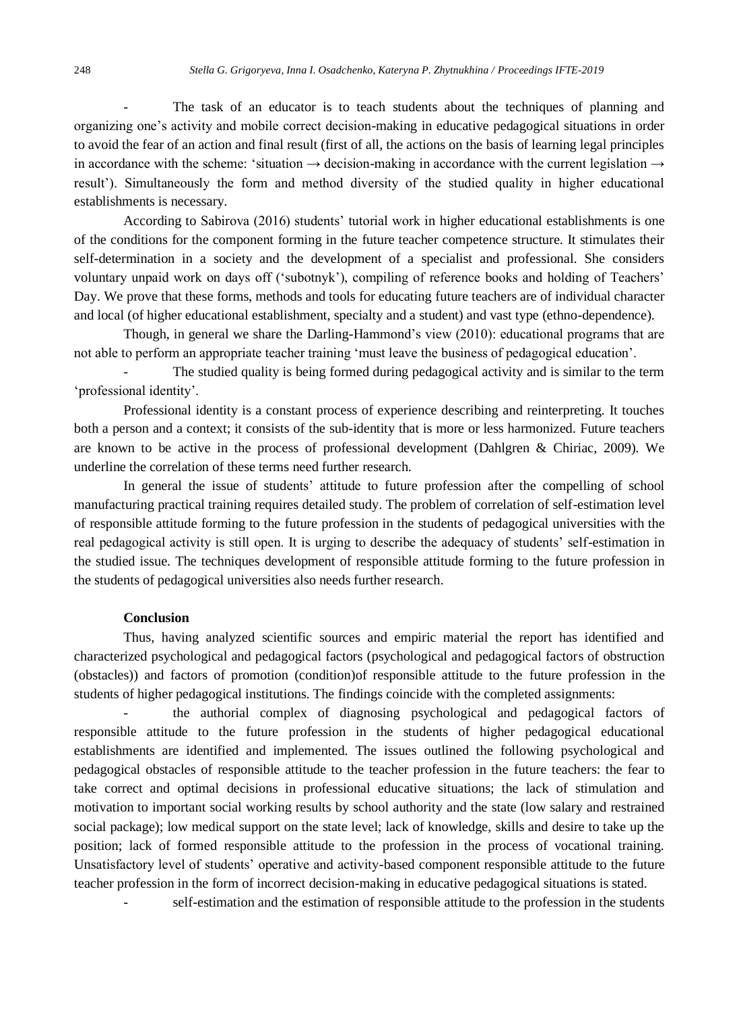The task of an educator is to teach students about the techniques of planning and organizing one's activity and mobile correct decision-making in educative pedagogical situations in order to avoid the fear of an action and final result (first of all, the actions on the basis of learning legal principles in accordance with the scheme: 'situation  $\rightarrow$  decision-making in accordance with the current legislation  $\rightarrow$ result'). Simultaneously the form and method diversity of the studied quality in higher educational establishments is necessary.

According to Sabirova (2016) students' tutorial work in higher educational establishments is one of the conditions for the component forming in the future teacher competence structure. It stimulates their self-determination in a society and the development of a specialist and professional. She considers voluntary unpaid work on days off ('subotnyk'), compiling of reference books and holding of Teachers' Day. We prove that these forms, methods and tools for educating future teachers are of individual character and local (of higher educational establishment, specialty and a student) and vast type (ethno-dependence).

Though, in general we share the Darling-Hammond's view (2010): educational programs that are not able to perform an appropriate teacher training 'must leave the business of pedagogical education'.

The studied quality is being formed during pedagogical activity and is similar to the term 'professional identity'.

Professional identity is a constant process of experience describing and reinterpreting. It touches both a person and a context; it consists of the sub-identity that is more or less harmonized. Future teachers are known to be active in the process of professional development (Dahlgren & Chiriac, 2009). We underline the correlation of these terms need further research.

In general the issue of students' attitude to future profession after the compelling of school manufacturing practical training requires detailed study. The problem of correlation of self-estimation level of responsible attitude forming to the future profession in the students of pedagogical universities with the real pedagogical activity is still open. It is urging to describe the adequacy of students' self-estimation in the studied issue. The techniques development of responsible attitude forming to the future profession in the students of pedagogical universities also needs further research.

# **Conclusion**

Thus, having analyzed scientific sources and empiric material the report has identified and characterized psychological and pedagogical factors (psychological and pedagogical factors of obstruction (obstacles)) and factors of promotion (condition)of responsible attitude to the future profession in the students of higher pedagogical institutions. The findings coincide with the completed assignments:

- the authorial complex of diagnosing psychological and pedagogical factors of responsible attitude to the future profession in the students of higher pedagogical educational establishments are identified and implemented. The issues outlined the following psychological and pedagogical obstacles of responsible attitude to the teacher profession in the future teachers: the fear to take correct and optimal decisions in professional educative situations; the lack of stimulation and motivation to important social working results by school authority and the state (low salary and restrained social package); low medical support on the state level; lack of knowledge, skills and desire to take up the position; lack of formed responsible attitude to the profession in the process of vocational training. Unsatisfactory level of students' operative and activity-based component responsible attitude to the future teacher profession in the form of incorrect decision-making in educative pedagogical situations is stated.

self-estimation and the estimation of responsible attitude to the profession in the students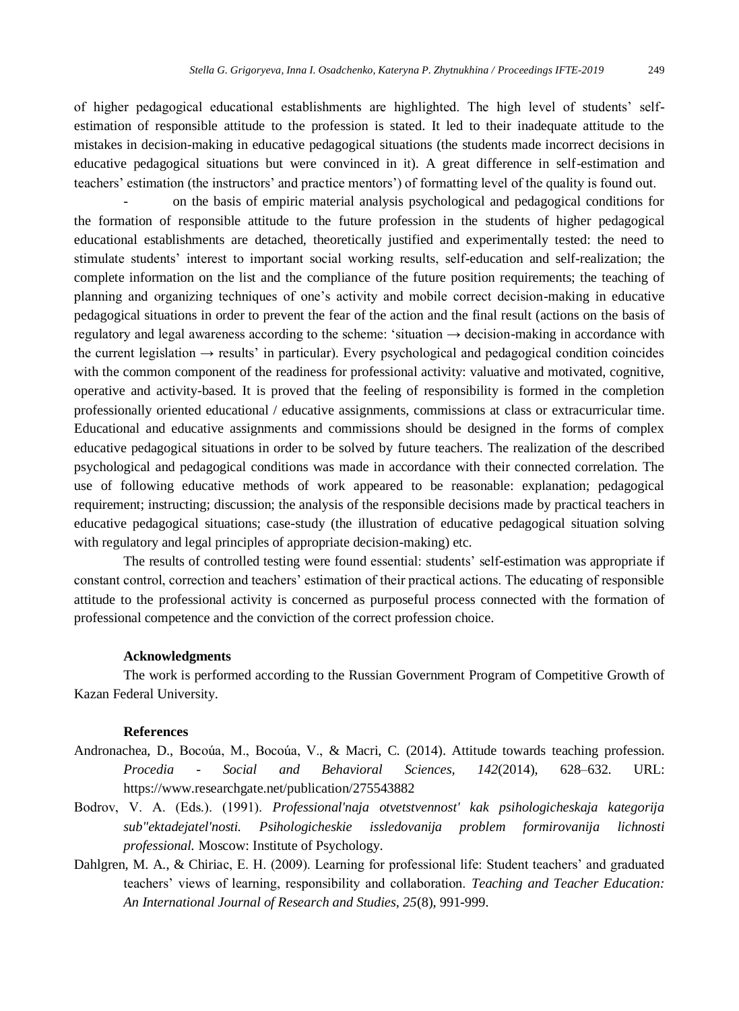of higher pedagogical educational establishments are highlighted. The high level of students' selfestimation of responsible attitude to the profession is stated. It led to their inadequate attitude to the mistakes in decision-making in educative pedagogical situations (the students made incorrect decisions in educative pedagogical situations but were convinced in it). A great difference in self-estimation and teachers' estimation (the instructors' and practice mentors') of formatting level of the quality is found out.

- on the basis of empiric material analysis psychological and pedagogical conditions for the formation of responsible attitude to the future profession in the students of higher pedagogical educational establishments are detached, theoretically justified and experimentally tested: the need to stimulate students' interest to important social working results, self-education and self-realization; the complete information on the list and the compliance of the future position requirements; the teaching of planning and organizing techniques of one's activity and mobile correct decision-making in educative pedagogical situations in order to prevent the fear of the action and the final result (actions on the basis of regulatory and legal awareness according to the scheme: 'situation → decision-making in accordance with the current legislation  $\rightarrow$  results' in particular). Every psychological and pedagogical condition coincides with the common component of the readiness for professional activity: valuative and motivated, cognitive, operative and activity-based. It is proved that the feeling of responsibility is formed in the completion professionally oriented educational / educative assignments, commissions at class or extracurricular time. Educational and educative assignments and commissions should be designed in the forms of complex educative pedagogical situations in order to be solved by future teachers. The realization of the described psychological and pedagogical conditions was made in accordance with their connected correlation. The use of following educative methods of work appeared to be reasonable: explanation; pedagogical requirement; instructing; discussion; the analysis of the responsible decisions made by practical teachers in educative pedagogical situations; case-study (the illustration of educative pedagogical situation solving with regulatory and legal principles of appropriate decision-making) etc.

The results of controlled testing were found essential: students' self-estimation was appropriate if constant control, correction and teachers' estimation of their practical actions. The educating of responsible attitude to the professional activity is concerned as purposeful process connected with the formation of professional competence and the conviction of the correct profession choice.

## **Acknowledgments**

The work is performed according to the Russian Government Program of Competitive Growth of Kazan Federal University.

### **References**

- Andronachea, D., Bocoúa, M., Bocoúa, V., & Macri, C. (2014). Attitude towards teaching profession. *Procedia - Social and Behavioral Sciences, 142*(2014), 628–632. URL: <https://www.researchgate.net/publication/275543882>
- Bodrov, V. А. (Eds.). (1991). *Professional'naja otvetstvennost' kak psihologicheskaja kategorija sub"ektadejatel'nosti. Psihologicheskie issledovanija problem formirovanija lichnosti professional.* Moscow: Institute of Psychology.
- Dahlgren, M. A., & Chiriac, E. H. (2009). Learning for professional life: Student teachers' and graduated teachers' views of learning, responsibility and collaboration. *Teaching and Teacher Education: An International Journal of Research and Studies, 25*(8), 991-999.